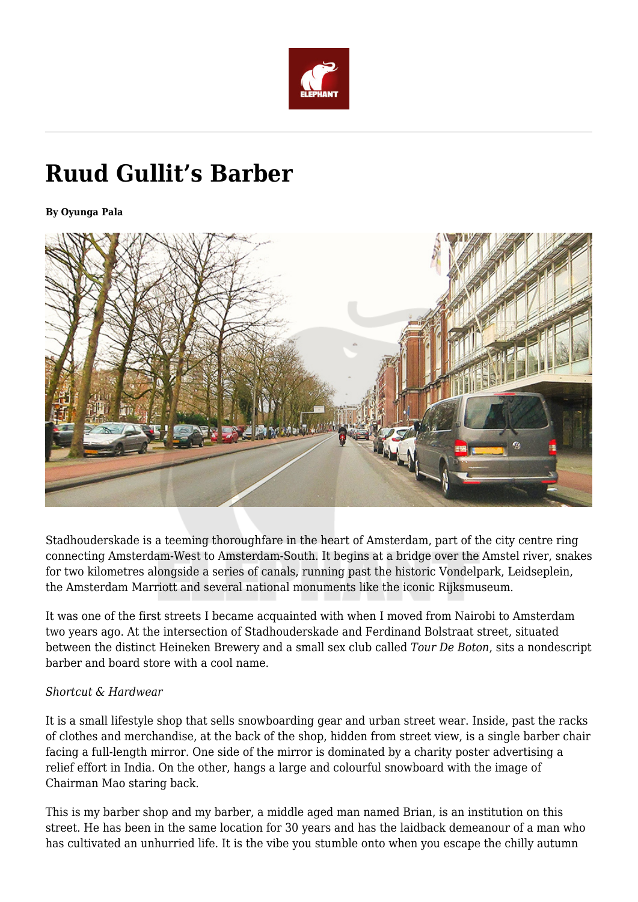

# **Ruud Gullit's Barber**

**By Oyunga Pala**



Stadhouderskade is a teeming thoroughfare in the heart of Amsterdam, part of the city centre ring connecting Amsterdam-West to Amsterdam-South. It begins at a bridge over the Amstel river, snakes for two kilometres alongside a series of canals, running past the historic Vondelpark, Leidseplein, the Amsterdam Marriott and several national monuments like the iconic Rijksmuseum.

It was one of the first streets I became acquainted with when I moved from Nairobi to Amsterdam two years ago. At the intersection of Stadhouderskade and Ferdinand Bolstraat street, situated between the distinct Heineken Brewery and a small sex club called *Tour De Boton*, sits a nondescript barber and board store with a cool name.

#### *Shortcut & Hardwear*

It is a small lifestyle shop that sells snowboarding gear and urban street wear. Inside, past the racks of clothes and merchandise, at the back of the shop, hidden from street view, is a single barber chair facing a full-length mirror. One side of the mirror is dominated by a charity poster advertising a relief effort in India. On the other, hangs a large and colourful snowboard with the image of Chairman Mao staring back.

This is my barber shop and my barber, a middle aged man named Brian, is an institution on this street. He has been in the same location for 30 years and has the laidback demeanour of a man who has cultivated an unhurried life. It is the vibe you stumble onto when you escape the chilly autumn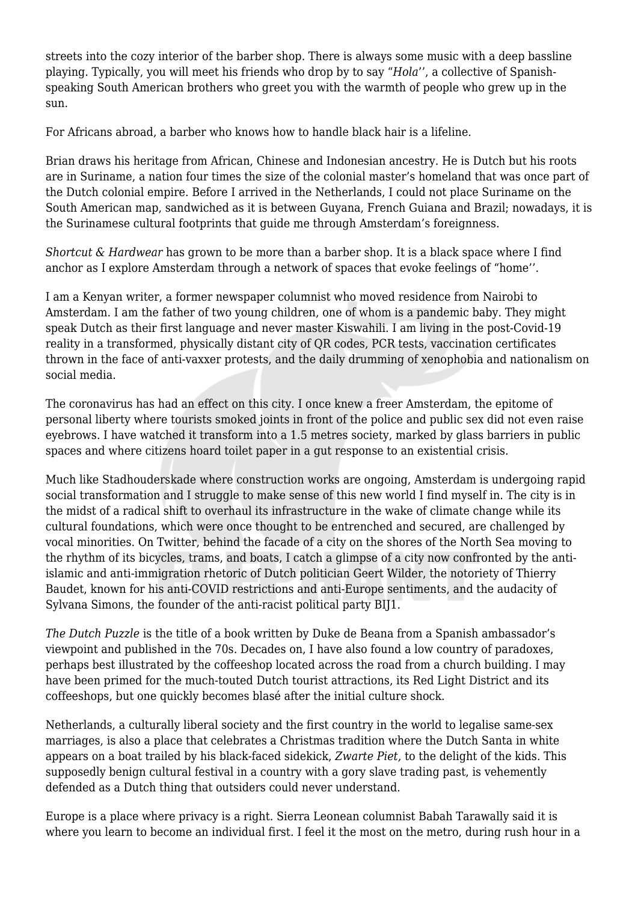streets into the cozy interior of the barber shop. There is always some music with a deep bassline playing. Typically, you will meet his friends who drop by to say "*Hola*'', a collective of Spanishspeaking South American brothers who greet you with the warmth of people who grew up in the sun.

For Africans abroad, a barber who knows how to handle black hair is a lifeline.

Brian draws his heritage from African, Chinese and Indonesian ancestry. He is Dutch but his roots are in Suriname, a nation four times the size of the colonial master's homeland that was once part of the Dutch colonial empire. Before I arrived in the Netherlands, I could not place Suriname on the South American map, sandwiched as it is between Guyana, French Guiana and Brazil; nowadays, it is the Surinamese cultural footprints that guide me through Amsterdam's foreignness.

*Shortcut & Hardwear* has grown to be more than a barber shop. It is a black space where I find anchor as I explore Amsterdam through a network of spaces that evoke feelings of "home''.

I am a Kenyan writer, a former newspaper columnist who moved residence from Nairobi to Amsterdam. I am the father of two young children, one of whom is a pandemic baby. They might speak Dutch as their first language and never master Kiswahili. I am living in the post-Covid-19 reality in a transformed, physically distant city of QR codes, PCR tests, vaccination certificates thrown in the face of anti-vaxxer protests, and the daily drumming of xenophobia and nationalism on social media.

The coronavirus has had an effect on this city. I once knew a freer Amsterdam, the epitome of personal liberty where tourists smoked joints in front of the police and public sex did not even raise eyebrows. I have watched it transform into a 1.5 metres society, marked by glass barriers in public spaces and where citizens hoard toilet paper in a gut response to an existential crisis.

Much like Stadhouderskade where construction works are ongoing, Amsterdam is undergoing rapid social transformation and I struggle to make sense of this new world I find myself in. The city is in the midst of a radical shift to overhaul its infrastructure in the wake of climate change while its cultural foundations, which were once thought to be entrenched and secured, are challenged by vocal minorities. On Twitter, behind the facade of a city on the shores of the North Sea moving to the rhythm of its bicycles, trams, and boats, I catch a glimpse of a city now confronted by the antiislamic and anti-immigration rhetoric of Dutch politician Geert Wilder, the notoriety of Thierry Baudet, known for his anti-COVID restrictions and anti-Europe sentiments, and the audacity of Sylvana Simons, the founder of the anti-racist political party BIJ1.

*The Dutch Puzzle* is the title of a book written by Duke de Beana from a Spanish ambassador's viewpoint and published in the 70s. Decades on, I have also found a low country of paradoxes, perhaps best illustrated by the coffeeshop located across the road from a church building. I may have been primed for the much-touted Dutch tourist attractions, its Red Light District and its coffeeshops, but one quickly becomes blasé after the initial culture shock.

Netherlands, a culturally liberal society and the first country in the world to legalise same-sex marriages, is also a place that celebrates a Christmas tradition where the Dutch Santa in white appears on a boat trailed by his black-faced sidekick, *Zwarte Piet,* to the delight of the kids. This supposedly benign cultural festival in a country with a gory slave trading past, is vehemently defended as a Dutch thing that outsiders could never understand.

Europe is a place where privacy is a right. Sierra Leonean columnist Babah Tarawally said it is where you learn to become an individual first. I feel it the most on the metro, during rush hour in a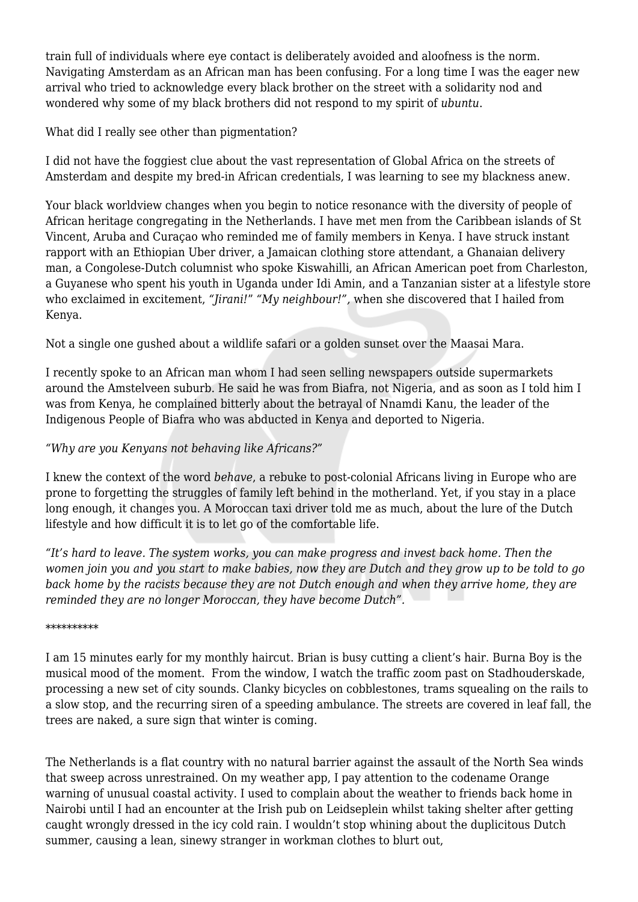train full of individuals where eye contact is deliberately avoided and aloofness is the norm. Navigating Amsterdam as an African man has been confusing. For a long time I was the eager new arrival who tried to acknowledge every black brother on the street with a solidarity nod and wondered why some of my black brothers did not respond to my spirit of *ubuntu*.

## What did I really see other than pigmentation?

I did not have the foggiest clue about the vast representation of Global Africa on the streets of Amsterdam and despite my bred-in African credentials, I was learning to see my blackness anew.

Your black worldview changes when you begin to notice resonance with the diversity of people of African heritage congregating in the Netherlands. I have met men from the Caribbean islands of St Vincent, Aruba and Curaçao who reminded me of family members in Kenya. I have struck instant rapport with an Ethiopian Uber driver, a Jamaican clothing store attendant, a Ghanaian delivery man, a Congolese-Dutch columnist who spoke Kiswahilli, an African American poet from Charleston, a Guyanese who spent his youth in Uganda under Idi Amin, and a Tanzanian sister at a lifestyle store who exclaimed in excitement, *"Jirani!*" *"My neighbour!",* when she discovered that I hailed from Kenya.

Not a single one gushed about a wildlife safari or a golden sunset over the Maasai Mara.

I recently spoke to an African man whom I had seen selling newspapers outside supermarkets around the Amstelveen suburb. He said he was from Biafra, not Nigeria, and as soon as I told him I was from Kenya, he complained bitterly about the betrayal of Nnamdi Kanu, the leader of the Indigenous People of Biafra who was abducted in Kenya and deported to Nigeria.

### *"Why are you Kenyans not behaving like Africans?"*

I knew the context of the word *behave*, a rebuke to post-colonial Africans living in Europe who are prone to forgetting the struggles of family left behind in the motherland. Yet, if you stay in a place long enough, it changes you. A Moroccan taxi driver told me as much, about the lure of the Dutch lifestyle and how difficult it is to let go of the comfortable life.

*"It's hard to leave. The system works, you can make progress and invest back home. Then the women join you and you start to make babies, now they are Dutch and they grow up to be told to go back home by the racists because they are not Dutch enough and when they arrive home, they are reminded they are no longer Moroccan, they have become Dutch".* 

#### \*\*\*\*\*\*\*\*\*\*

I am 15 minutes early for my monthly haircut. Brian is busy cutting a client's hair. Burna Boy is the musical mood of the moment. From the window, I watch the traffic zoom past on Stadhouderskade, processing a new set of city sounds. Clanky bicycles on cobblestones, trams squealing on the rails to a slow stop, and the recurring siren of a speeding ambulance. The streets are covered in leaf fall, the trees are naked, a sure sign that winter is coming.

The Netherlands is a flat country with no natural barrier against the assault of the North Sea winds that sweep across unrestrained. On my weather app, I pay attention to the codename Orange warning of unusual coastal activity. I used to complain about the weather to friends back home in Nairobi until I had an encounter at the Irish pub on Leidseplein whilst taking shelter after getting caught wrongly dressed in the icy cold rain. I wouldn't stop whining about the duplicitous Dutch summer, causing a lean, sinewy stranger in workman clothes to blurt out,